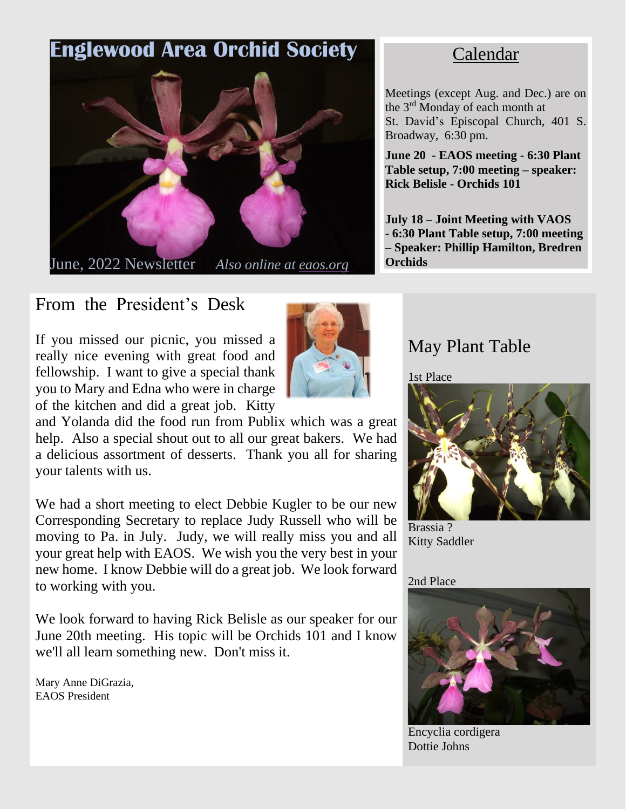# **Englewood Area Orchid Society**



June, 2022 Newsletter *Also online at eaos.org*

# From the President's Desk

If you missed our picnic, you missed a really nice evening with great food and fellowship. I want to give a special thank you to Mary and Edna who were in charge of the kitchen and did a great job. Kitty



and Yolanda did the food run from Publix which was a great help. Also a special shout out to all our great bakers. We had a delicious assortment of desserts. Thank you all for sharing your talents with us.

We had a short meeting to elect Debbie Kugler to be our new Corresponding Secretary to replace Judy Russell who will be moving to Pa. in July. Judy, we will really miss you and all your great help with EAOS. We wish you the very best in your new home. I know Debbie will do a great job. We look forward to working with you.

We look forward to having Rick Belisle as our speaker for our June 20th meeting. His topic will be Orchids 101 and I know we'll all learn something new. Don't miss it.

Mary Anne DiGrazia, EAOS President

# Calendar

Meetings (except Aug. and Dec.) are on the 3<sup>rd</sup> Monday of each month at St. David's Episcopal Church, 401 S. Broadway, 6:30 pm.

**June 20 - EAOS meeting - 6:30 Plant Table setup, 7:00 meeting – speaker: Rick Belisle - Orchids 101**

**July 18 – Joint Meeting with VAOS - 6:30 Plant Table setup, 7:00 meeting – Speaker: Phillip Hamilton, Bredren Orchids**

# May Plant Table

1st Place



Brassia ? Kitty Saddler

### 2nd Place



Encyclia cordigera Dottie Johns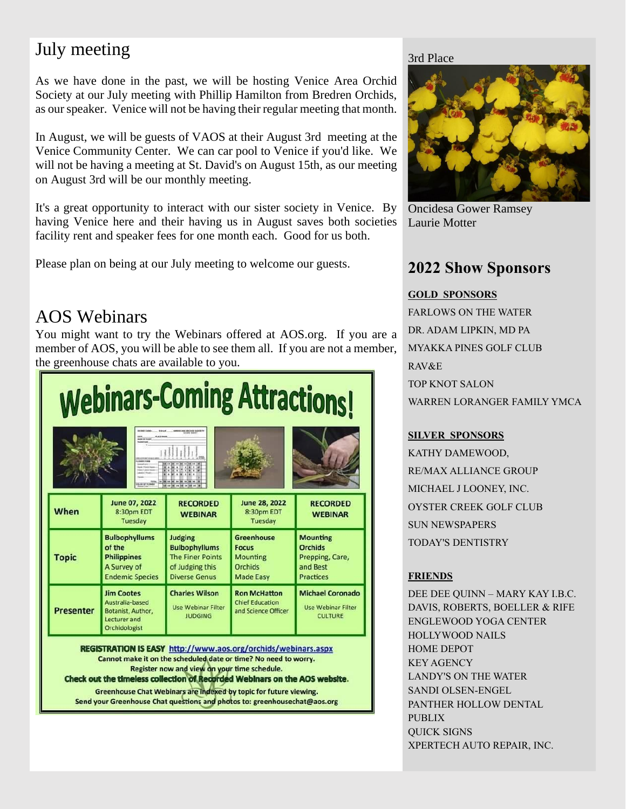# July meeting

As we have done in the past, we will be hosting Venice Area Orchid Society at our July meeting with Phillip Hamilton from Bredren Orchids, as ourspeaker. Venice will not be having their regular meeting that month.

In August, we will be guests of VAOS at their August 3rd meeting at the Venice Community Center. We can car pool to Venice if you'd like. We will not be having a meeting at St. David's on August 15th, as our meeting on August 3rd will be our monthly meeting.

It's a great opportunity to interact with our sister society in Venice. By having Venice here and their having us in August saves both societies facility rent and speaker fees for one month each. Good for us both.

Please plan on being at our July meeting to welcome our guests.

## AOS Webinars

You might want to try the Webinars offered at AOS.org. If you are a member of AOS, you will be able to see them all. If you are not a member, the greenhouse chats are available to you.

| <b>Webinars-Coming Attractions!</b><br>ANNUISH GRÜSSESÖCHTT                                                                                                                                                                                                                                                                                |                                                                                                   |                                                                                                       |                                                                                     |                                                                                      |  |
|--------------------------------------------------------------------------------------------------------------------------------------------------------------------------------------------------------------------------------------------------------------------------------------------------------------------------------------------|---------------------------------------------------------------------------------------------------|-------------------------------------------------------------------------------------------------------|-------------------------------------------------------------------------------------|--------------------------------------------------------------------------------------|--|
|                                                                                                                                                                                                                                                                                                                                            |                                                                                                   |                                                                                                       |                                                                                     |                                                                                      |  |
| When                                                                                                                                                                                                                                                                                                                                       | June 07, 2022<br>8:30pm EDT<br>Tuesday                                                            | <b>RECORDED</b><br><b>WEBINAR</b>                                                                     | June 28, 2022<br>8:30pm EDT<br>Tuesday                                              | <b>RECORDED</b><br><b>WEBINAR</b>                                                    |  |
| <b>Topic</b>                                                                                                                                                                                                                                                                                                                               | <b>Bulbophyllums</b><br>of the<br><b>Philippines</b><br>A Survey of<br><b>Endemic Species</b>     | Judging<br><b>Bulbophyllums</b><br><b>The Finer Points</b><br>of Judging this<br><b>Diverse Genus</b> | <b>Greenhouse</b><br><b>Focus</b><br>Mounting<br><b>Orchids</b><br><b>Made Easy</b> | <b>Mounting</b><br><b>Orchids</b><br>Prepping, Care,<br>and Best<br><b>Practices</b> |  |
| <b>Presenter</b>                                                                                                                                                                                                                                                                                                                           | <b>Jim Cootes</b><br>Australia-based<br>Botanist, Author,<br>Lecturer and<br><b>Orchidologist</b> | <b>Charles Wilson</b><br><b>Use Webinar Filter</b><br><b>JUDGING</b>                                  | <b>Ron McHatton</b><br><b>Chief Education</b><br>and Science Officer                | <b>Michael Coronado</b><br><b>Use Webinar Filter</b><br><b>CULTURE</b>               |  |
| <b>REGISTRATION IS EASY http://www.aos.org/orchids/webinars.aspx</b><br>Cannot make it on the scheduled date or time? No need to worry.<br>Register now and view on your time schedule.<br>Check out the timeless collection of Recorded Webinars on the AOS website.<br>Greenhouse Chat Webinars are indexed by topic for future viewing. |                                                                                                   |                                                                                                       |                                                                                     |                                                                                      |  |

Send your Greenhouse Chat questions and photos to: greenhousechat@aos.org

#### 3rd Place



Oncidesa Gower Ramsey Laurie Motter

### **2022 Show Sponsors**

#### **GOLD SPONSORS**

FARLOWS ON THE WATER DR. ADAM LIPKIN, MD PA MYAKKA PINES GOLF CLUB RAV&E TOP KNOT SALON WARREN LORANGER FAMILY YMCA

#### **SILVER SPONSORS**

KATHY DAMEWOOD, RE/MAX ALLIANCE GROUP MICHAEL J LOONEY, INC. OYSTER CREEK GOLF CLUB SUN NEWSPAPERS TODAY'S DENTISTRY

#### **FRIENDS**

DEE DEE QUINN – MARY KAY I.B.C. DAVIS, ROBERTS, BOELLER & RIFE ENGLEWOOD YOGA CENTER HOLLYWOOD NAILS HOME DEPOT KEY AGENCY LANDY'S ON THE WATER SANDI OLSEN-ENGEL PANTHER HOLLOW DENTAL PUBLIX QUICK SIGNS XPERTECH AUTO REPAIR, INC.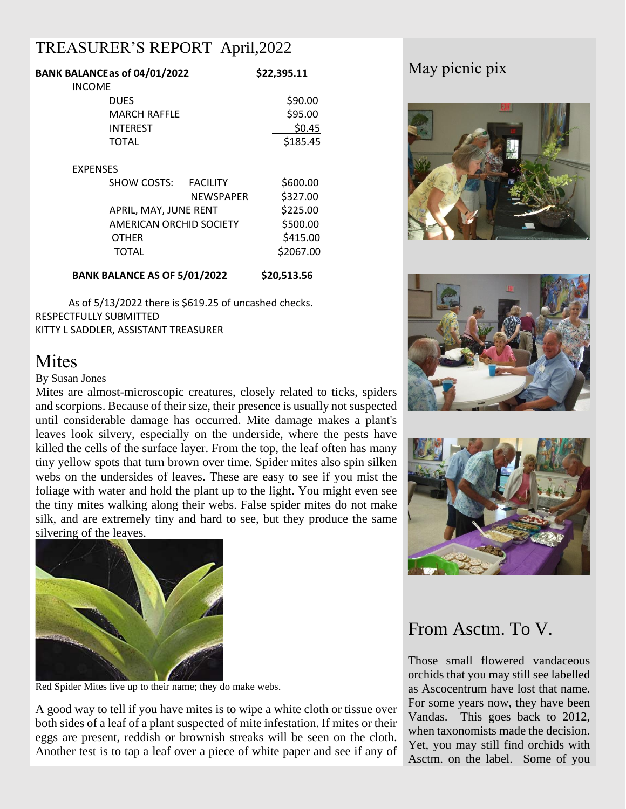## TREASURER'S REPORT April,2022

| BANK BALANCEas of 04/01/2022        |                         | \$22,395.11 |  |
|-------------------------------------|-------------------------|-------------|--|
| <b>INCOME</b>                       |                         |             |  |
| DUES                                |                         | \$90.00     |  |
| <b>MARCH RAFFLE</b>                 |                         | \$95.00     |  |
| <b>INTEREST</b>                     |                         | \$0.45      |  |
| <b>TOTAL</b>                        |                         | \$185.45    |  |
| <b>EXPENSES</b>                     |                         |             |  |
| SHOW COSTS:                         | <b>FACILITY</b>         | \$600.00    |  |
|                                     | <b>NEWSPAPER</b>        | \$327.00    |  |
|                                     | APRIL, MAY, JUNE RENT   |             |  |
|                                     | AMERICAN ORCHID SOCIETY |             |  |
| OTHER                               |                         | \$415.00    |  |
| TOTAL                               |                         | \$2067.00   |  |
| <b>BANK BALANCE AS OF 5/01/2022</b> |                         | \$20,513.56 |  |

 As of 5/13/2022 there is \$619.25 of uncashed checks. RESPECTFULLY SUBMITTED KITTY L SADDLER, ASSISTANT TREASURER

## **Mites**

#### By Susan Jones

Mites are almost-microscopic creatures, closely related to ticks, spiders and scorpions. Because of their size, their presence is usually not suspected until considerable damage has occurred. Mite damage makes a plant's leaves look silvery, especially on the underside, where the pests have killed the cells of the surface layer. From the top, the leaf often has many tiny yellow spots that turn brown over time. Spider mites also spin silken webs on the undersides of leaves. These are easy to see if you mist the foliage with water and hold the plant up to the light. You might even see the tiny mites walking along their webs. False spider mites do not make silk, and are extremely tiny and hard to see, but they produce the same silvering of the leaves.



Red Spider Mites live up to their name; they do make webs.

A good way to tell if you have mites is to wipe a white cloth or tissue over both sides of a leaf of a plant suspected of mite infestation. If mites or their eggs are present, reddish or brownish streaks will be seen on the cloth. Another test is to tap a leaf over a piece of white paper and see if any of

# May picnic pix







## From Asctm. To V.

Those small flowered vandaceous orchids that you may still see labelled as Ascocentrum have lost that name. For some years now, they have been Vandas. This goes back to 2012, when taxonomists made the decision. Yet, you may still find orchids with Asctm. on the label. Some of you